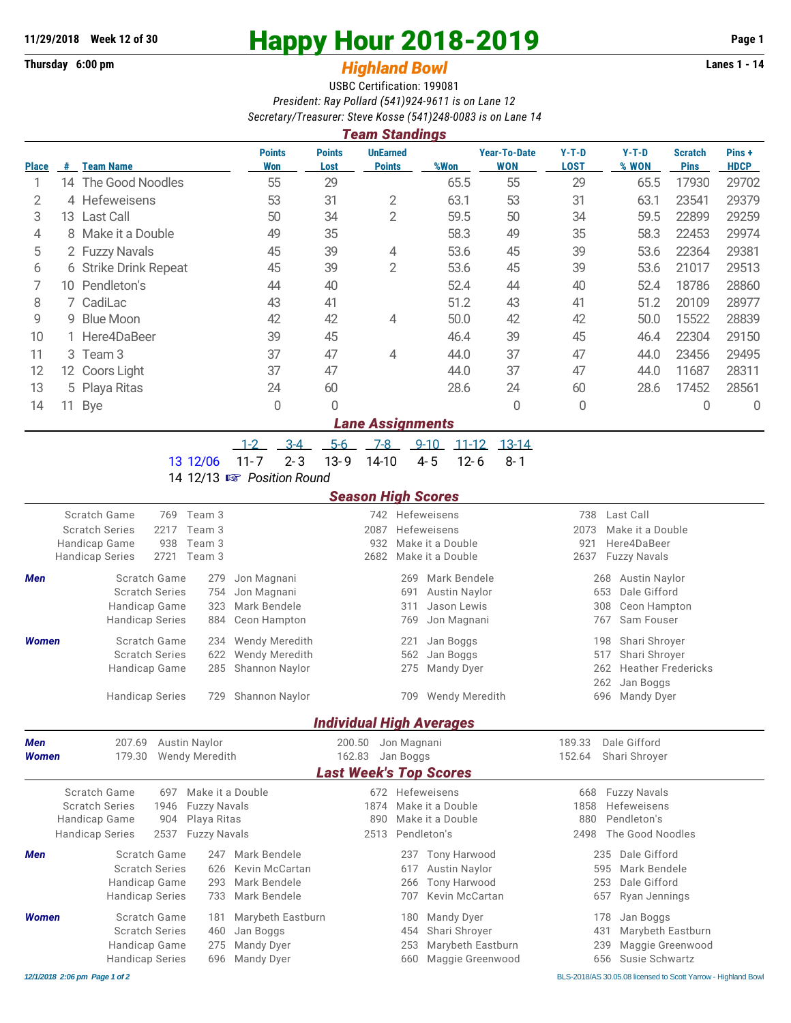**Thursday 6:00 pm** *Highland Bowl* **Lanes 1 - 14**

## **11/29/2018 Week 12 of 30 Happy Hour 2018-2019 Page 1**

## USBC Certification: 199081 *President: Ray Pollard (541)924-9611 is on Lane 12 Secretary/Treasurer: Steve Kosse (541)248-0083 is on Lane 14*

| <b>Team Standings</b> |    |                       |                      |                       |                                  |      |                                   |                        |                  |                               |                      |
|-----------------------|----|-----------------------|----------------------|-----------------------|----------------------------------|------|-----------------------------------|------------------------|------------------|-------------------------------|----------------------|
| <b>Place</b>          | #  | <b>Team Name</b>      | <b>Points</b><br>Won | <b>Points</b><br>Lost | <b>UnEarned</b><br><b>Points</b> | %Won | <b>Year-To-Date</b><br><b>WON</b> | $Y-T-D$<br><b>LOST</b> | $Y-T-D$<br>% WON | <b>Scratch</b><br><b>Pins</b> | Pins+<br><b>HDCP</b> |
|                       | 14 | The Good Noodles      | 55                   | 29                    |                                  | 65.5 | 55                                | 29                     | 65.5             | 17930                         | 29702                |
| 2                     |    | 4 Hefeweisens         | 53                   | 31                    | 2                                | 63.1 | 53                                | 31                     | 63.1             | 23541                         | 29379                |
| 3                     |    | 13 Last Call          | 50                   | 34                    | 2                                | 59.5 | 50                                | 34                     | 59.5             | 22899                         | 29259                |
| 4                     |    | 8 Make it a Double    | 49                   | 35                    |                                  | 58.3 | 49                                | 35                     | 58.3             | 22453                         | 29974                |
| 5                     |    | 2 Fuzzy Navals        | 45                   | 39                    | 4                                | 53.6 | 45                                | 39                     | 53.6             | 22364                         | 29381                |
| 6                     |    | 6 Strike Drink Repeat | 45                   | 39                    | $\overline{2}$                   | 53.6 | 45                                | 39                     | 53.6             | 21017                         | 29513                |
|                       | 10 | Pendleton's           | 44                   | 40                    |                                  | 52.4 | 44                                | 40                     | 52.4             | 18786                         | 28860                |
| 8                     |    | 7 CadiLac             | 43                   | 41                    |                                  | 51.2 | 43                                | 41                     | 51.2             | 20109                         | 28977                |
| 9                     |    | 9 Blue Moon           | 42                   | 42                    | 4                                | 50.0 | 42                                | 42                     | 50.0             | 15522                         | 28839                |
| 10                    |    | 1 Here4DaBeer         | 39                   | 45                    |                                  | 46.4 | 39                                | 45                     | 46.4             | 22304                         | 29150                |
| 11                    |    | 3 Team 3              | 37                   | 47                    | 4                                | 44.0 | 37                                | 47                     | 44.0             | 23456                         | 29495                |
| 12                    |    | 12 Coors Light        | 37                   | 47                    |                                  | 44.0 | 37                                | 47                     | 44.0             | 11687                         | 28311                |
| 13                    |    | 5 Playa Ritas         | 24                   | 60                    |                                  | 28.6 | 24                                | 60                     | 28.6             | 17452                         | 28561                |
| 14                    | 11 | Bye                   | 0                    | 0                     |                                  |      | 0                                 | 0                      |                  | 0                             | 0                    |
|                       |    |                       |                      |                       | <b>Lane Assignments</b>          |      |                                   |                        |                  |                               |                      |

## 1-2 3-4 5-6 7-8 9-10 11-12 13-14

13 12/06 11-7 2-3 13-9 14-10 4-5 12-6 8-1

14 12/13 { *Position Round*

## *Season High Scores*

|              |                                |                             |                  |                       | aadii mign oodroo               |                  |                        |                            |                                  |  |  |  |
|--------------|--------------------------------|-----------------------------|------------------|-----------------------|---------------------------------|------------------|------------------------|----------------------------|----------------------------------|--|--|--|
|              | Scratch Game                   | 769                         | Team 3           |                       |                                 |                  | 742 Hefeweisens        | 738                        | Last Call                        |  |  |  |
|              | <b>Scratch Series</b>          | 2217                        | Team 3           |                       | 2087                            |                  | Hefeweisens            | 2073                       | Make it a Double                 |  |  |  |
|              | Handicap Game                  | 938                         | Team 3           |                       | 932                             |                  | Make it a Double       | 921                        | Here4DaBeer                      |  |  |  |
|              | <b>Handicap Series</b>         | 2721                        | Team 3           |                       | 2682                            |                  | Make it a Double       | 2637                       | <b>Fuzzy Navals</b>              |  |  |  |
| <b>Men</b>   | Scratch Game                   |                             | 279              | Jon Magnani           |                                 | 269              | Mark Bendele           |                            | Austin Naylor<br>268             |  |  |  |
|              | <b>Scratch Series</b>          |                             | 754              | Jon Magnani           |                                 | 691              | <b>Austin Naylor</b>   |                            | Dale Gifford<br>653              |  |  |  |
|              |                                | Handicap Game               |                  | Mark Bendele          |                                 | 311              | Jason Lewis            |                            | 308<br>Ceon Hampton              |  |  |  |
|              | <b>Handicap Series</b>         |                             | 884              | Ceon Hampton          |                                 | 769              | Jon Magnani            |                            | 767<br>Sam Fouser                |  |  |  |
| <b>Women</b> | Scratch Game                   |                             | 234              | <b>Wendy Meredith</b> |                                 | 221              | Jan Boggs              |                            | Shari Shroyer<br>198             |  |  |  |
|              | <b>Scratch Series</b><br>622   |                             |                  | Wendy Meredith        |                                 | 562              | Jan Boggs              |                            | Shari Shroyer<br>517             |  |  |  |
|              | Handicap Game                  |                             | 285              | Shannon Naylor        |                                 | 275              | Mandy Dyer             |                            | <b>Heather Fredericks</b><br>262 |  |  |  |
|              |                                |                             |                  |                       |                                 |                  |                        |                            | 262<br>Jan Boggs                 |  |  |  |
|              | <b>Handicap Series</b>         |                             | 729              | <b>Shannon Naylor</b> |                                 |                  | 709 Wendy Meredith     |                            | 696<br><b>Mandy Dyer</b>         |  |  |  |
|              |                                |                             |                  |                       | <b>Individual High Averages</b> |                  |                        |                            |                                  |  |  |  |
| <b>Men</b>   | 207.69<br><b>Austin Naylor</b> |                             |                  | 200.50<br>Jon Magnani |                                 |                  | Dale Gifford<br>189.33 |                            |                                  |  |  |  |
| <b>Women</b> | 179.30                         | <b>Wendy Meredith</b>       |                  |                       |                                 | Jan Boggs        |                        | 152.64<br>Shari Shrover    |                                  |  |  |  |
|              |                                |                             |                  |                       | <b>Last Week's Top Scores</b>   |                  |                        |                            |                                  |  |  |  |
|              | Scratch Game                   | 697                         | Make it a Double |                       |                                 |                  | 672 Hefeweisens        | 668<br><b>Fuzzy Navals</b> |                                  |  |  |  |
|              | <b>Scratch Series</b>          | 1946<br><b>Fuzzy Navals</b> |                  |                       |                                 |                  | Make it a Double       | 1858                       | Hefeweisens                      |  |  |  |
|              | Handicap Game                  | 904<br>Playa Ritas          |                  |                       | 890                             | Make it a Double | Pendleton's<br>880     |                            |                                  |  |  |  |
|              | <b>Handicap Series</b>         | 2537<br><b>Fuzzy Navals</b> |                  |                       | 2513                            |                  | Pendleton's            | The Good Noodles<br>2498   |                                  |  |  |  |
| <b>Men</b>   | Scratch Game                   |                             | 247              | Mark Bendele          |                                 | 237              | <b>Tony Harwood</b>    |                            | Dale Gifford<br>235              |  |  |  |
|              | <b>Scratch Series</b><br>626   |                             |                  | Kevin McCartan        |                                 | 617              | <b>Austin Naylor</b>   |                            | Mark Bendele<br>595              |  |  |  |
|              | Handicap Game                  |                             | 293              | Mark Bendele          |                                 | 266              | <b>Tony Harwood</b>    |                            | Dale Gifford<br>253              |  |  |  |
|              | <b>Handicap Series</b>         |                             | 733              | Mark Bendele          |                                 | 707              | Kevin McCartan         |                            | Ryan Jennings<br>657             |  |  |  |
| <b>Women</b> | Scratch Game                   |                             | 181              | Marybeth Eastburn     |                                 | 180              | <b>Mandy Dyer</b>      |                            | 178<br>Jan Boggs                 |  |  |  |
|              | <b>Scratch Series</b><br>460   |                             |                  | Jan Boggs             |                                 | 454              | Shari Shroyer          |                            | 431<br>Marybeth Eastburn         |  |  |  |
|              | Handicap Game<br>275           |                             |                  | Mandy Dyer            |                                 | 253              | Marybeth Eastburn      |                            | Maggie Greenwood<br>239          |  |  |  |
|              | <b>Handicap Series</b>         |                             | 696              | <b>Mandy Dyer</b>     |                                 | 660              | Maggie Greenwood       |                            | Susie Schwartz<br>656            |  |  |  |
|              |                                |                             |                  |                       |                                 |                  |                        |                            |                                  |  |  |  |

*12/1/2018 2:06 pm Page 1 of 2* BLS-2018/AS 30.05.08 licensed to Scott Yarrow - Highland Bowl